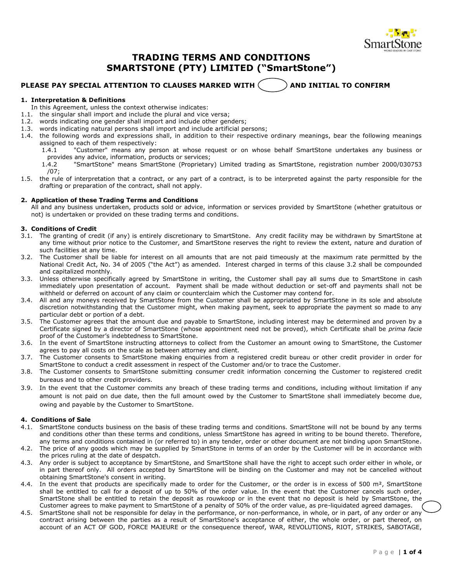

# **TRADING TERMS AND CONDITIONS SMARTSTONE (PTY) LIMITED ("SmartStone")**

# **PLEASE PAY SPECIAL ATTENTION TO CLAUSES MARKED WITH**  $\sim$  $\sim$  $\sim$  **and initial to confirm**

# **1. Interpretation & Definitions**

- In this Agreement, unless the context otherwise indicates:
- 1.1. the singular shall import and include the plural and vice versa;
- 1.2. words indicating one gender shall import and include other genders;
- 1.3. words indicating natural persons shall import and include artificial persons;
- 1.4. the following words and expressions shall, in addition to their respective ordinary meanings, bear the following meanings
	- assigned to each of them respectively: "Customer" means any person at whose request or on whose behalf SmartStone undertakes any business or provides any advice, information, products or services;
	- 1.4.2 "SmartStone" means SmartStone (Proprietary) Limited trading as SmartStone, registration number 2000/030753 /07;
- 1.5. the rule of interpretation that a contract, or any part of a contract, is to be interpreted against the party responsible for the drafting or preparation of the contract, shall not apply.

#### **2. Application of these Trading Terms and Conditions**

All and any business undertaken, products sold or advice, information or services provided by SmartStone (whether gratuitous or not) is undertaken or provided on these trading terms and conditions.

## **3. Conditions of Credit**

- 3.1. The granting of credit (if any) is entirely discretionary to SmartStone. Any credit facility may be withdrawn by SmartStone at any time without prior notice to the Customer, and SmartStone reserves the right to review the extent, nature and duration of such facilities at any time.
- 3.2. The Customer shall be liable for interest on all amounts that are not paid timeously at the maximum rate permitted by the National Credit Act, No. 34 of 2005 ("the Act") as amended. Interest charged in terms of this clause 3.2 shall be compounded and capitalized monthly.
- 3.3. Unless otherwise specifically agreed by SmartStone in writing, the Customer shall pay all sums due to SmartStone in cash immediately upon presentation of account. Payment shall be made without deduction or set-off and payments shall not be withheld or deferred on account of any claim or counterclaim which the Customer may contend for.
- 3.4. All and any moneys received by SmartStone from the Customer shall be appropriated by SmartStone in its sole and absolute discretion notwithstanding that the Customer might, when making payment, seek to appropriate the payment so made to any particular debt or portion of a debt.
- 3.5. The Customer agrees that the amount due and payable to SmartStone, including interest may be determined and proven by a Certificate signed by a director of SmartStone (whose appointment need not be proved), which Certificate shall be *prima facie*  proof of the Customer's indebtedness to SmartStone.
- 3.6. In the event of SmartStone instructing attorneys to collect from the Customer an amount owing to SmartStone, the Customer agrees to pay all costs on the scale as between attorney and client.
- 3.7. The Customer consents to SmartStone making enquiries from a registered credit bureau or other credit provider in order for SmartStone to conduct a credit assessment in respect of the Customer and/or to trace the Customer.
- 3.8. The Customer consents to SmartStone submitting consumer credit information concerning the Customer to registered credit bureaus and to other credit providers.
- 3.9. In the event that the Customer commits any breach of these trading terms and conditions, including without limitation if any amount is not paid on due date, then the full amount owed by the Customer to SmartStone shall immediately become due, owing and payable by the Customer to SmartStone.

## **4. Conditions of Sale**

- 4.1. SmartStone conducts business on the basis of these trading terms and conditions. SmartStone will not be bound by any terms and conditions other than these terms and conditions, unless SmartStone has agreed in writing to be bound thereto. Therefore, any terms and conditions contained in (or referred to) in any tender, order or other document are not binding upon SmartStone.
- 4.2. The price of any goods which may be supplied by SmartStone in terms of an order by the Customer will be in accordance with the prices ruling at the date of despatch.
- 4.3. Any order is subject to acceptance by SmartStone, and SmartStone shall have the right to accept such order either in whole, or in part thereof only. All orders accepted by SmartStone will be binding on the Customer and may not be cancelled without obtaining SmartStone's consent in writing.
- 4.4. In the event that products are specifically made to order for the Customer, or the order is in excess of 500 m<sup>2</sup>, SmartStone shall be entitled to call for a deposit of up to 50% of the order value. In the event that the Customer cancels such order, SmartStone shall be entitled to retain the deposit as rouwkoop or in the event that no deposit is held by SmartStone, the Customer agrees to make payment to SmartStone of a penalty of 50% of the order value, as pre-liquidated agreed damages.
- 4.5. SmartStone shall not be responsible for delay in the performance, or non-performance, in whole, or in part, of any order or any contract arising between the parties as a result of SmartStone's acceptance of either, the whole order, or part thereof, on account of an ACT OF GOD, FORCE MAJEURE or the consequence thereof, WAR, REVOLUTIONS, RIOT, STRIKES, SABOTAGE,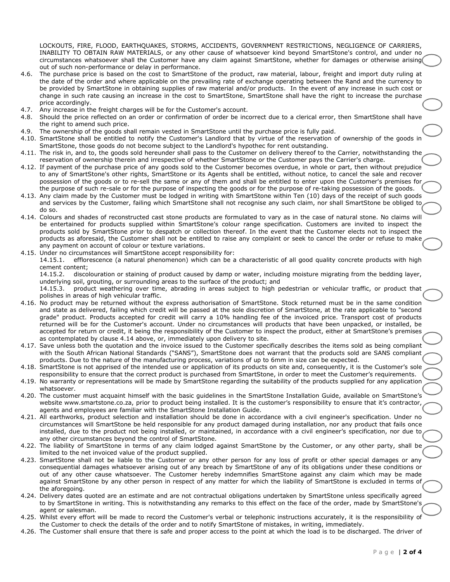LOCKOUTS, FIRE, FLOOD, EARTHQUAKES, STORMS, ACCIDENTS, GOVERNMENT RESTRICTIONS, NEGLIGENCE OF CARRIERS, INABILITY TO OBTAIN RAW MATERIALS, or any other cause of whatsoever kind beyond SmartStone's control, and under no circumstances whatsoever shall the Customer have any claim against SmartStone, whether for damages or otherwise arising out of such non-performance or delay in performance.

- 4.6. The purchase price is based on the cost to SmartStone of the product, raw material, labour, freight and import duty ruling at the date of the order and where applicable on the prevailing rate of exchange operating between the Rand and the currency to be provided by SmartStone in obtaining supplies of raw material and/or products. In the event of any increase in such cost or change in such rate causing an increase in the cost to SmartStone, SmartStone shall have the right to increase the purchase price accordingly.
- 4.7. Any increase in the freight charges will be for the Customer's account.
- 4.8. Should the price reflected on an order or confirmation of order be incorrect due to a clerical error, then SmartStone shall have the right to amend such price.
- 4.9. The ownership of the goods shall remain vested in SmartStone until the purchase price is fully paid.
- 4.10. SmartStone shall be entitled to notify the Customer's Landlord that by virtue of the reservation of ownership of the goods in SmartStone, those goods do not become subject to the Landlord's hypothec for rent outstanding.
- 4.11. The risk in, and to, the goods sold hereunder shall pass to the Customer on delivery thereof to the Carrier, notwithstanding the reservation of ownership therein and irrespective of whether SmartStone or the Customer pays the Carrier's charge.
- 4.12. If payment of the purchase price of any goods sold to the Customer becomes overdue, in whole or part, then without prejudice to any of SmartStone's other rights, SmartStone or its Agents shall be entitled, without notice, to cancel the sale and recover possession of the goods or to re-sell the same or any of them and shall be entitled to enter upon the Customer's premises for the purpose of such re-sale or for the purpose of inspecting the goods or for the purpose of re-taking possession of the goods.
- 4.13. Any claim made by the Customer must be lodged in writing with SmartStone within Ten (10) days of the receipt of such goods and services by the Customer, failing which SmartStone shall not recognise any such claim, nor shall SmartStone be obliged to do so.
- 4.14. Colours and shades of reconstructed cast stone products are formulated to vary as in the case of natural stone. No claims will be entertained for products supplied within SmartStone's colour range specification. Customers are invited to inspect the products sold by SmartStone prior to despatch or collection thereof. In the event that the Customer elects not to inspect the products as aforesaid, the Customer shall not be entitled to raise any complaint or seek to cancel the order or refuse to make any payment on account of colour or texture variations.
- 4.15. Under no circumstances will SmartStone accept responsibility for:

14.15.1. efflorescence (a natural phenomenon) which can be a characteristic of all good quality concrete products with high cement content;

14.15.2. discolouration or staining of product caused by damp or water, including moisture migrating from the bedding layer, underlying soil, grouting, or surrounding areas to the surface of the product; and

14.15.3. product weathering over time, abrading in areas subject to high pedestrian or vehicular traffic, or product that polishes in areas of high vehicular traffic.

- 4.16. No product may be returned without the express authorisation of SmartStone. Stock returned must be in the same condition and state as delivered, failing which credit will be passed at the sole discretion of SmartStone, at the rate applicable to "second grade" product. Products accepted for credit will carry a 10% handling fee of the invoiced price. Transport cost of products returned will be for the Customer's account. Under no circumstances will products that have been unpacked, or installed, be accepted for return or credit, it being the responsibility of the Customer to inspect the product, either at SmartStone's premises as contemplated by clause 4.14 above, or, immediately upon delivery to site.
- 4.17. Save unless both the quotation and the invoice issued to the Customer specifically describes the items sold as being compliant with the South African National Standards ("SANS"), SmartStone does not warrant that the products sold are SANS compliant products. Due to the nature of the manufacturing process, variations of up to 6mm in size can be expected.
- 4.18. SmartStone is not apprised of the intended use or application of its products on site and, consequently, it is the Customer's sole responsibility to ensure that the correct product is purchased from SmartStone, in order to meet the Customer's requirements.
- 4.19. No warranty or representations will be made by SmartStone regarding the suitability of the products supplied for any application whatsoever.
- 4.20. The customer must acquaint himself with the basic guidelines in the SmartStone Installation Guide, available on SmartStone's website www.smartstone.co.za, prior to product being installed. It is the customer's responsibility to ensure that it's contractor, agents and employees are familiar with the SmartStone Installation Guide.
- 4.21. All earthworks, product selection and installation should be done in accordance with a civil engineer's specification. Under no circumstances will SmartStone be held responsible for any product damaged during installation, nor any product that fails once installed, due to the product not being installed, or maintained, in accordance with a civil engineer's specification, nor due to any other circumstances beyond the control of SmartStone.
- 4.22. The liability of SmartStone in terms of any claim lodged against SmartStone by the Customer, or any other party, shall be limited to the net invoiced value of the product supplied.
- 4.23. SmartStone shall not be liable to the Customer or any other person for any loss of profit or other special damages or any consequential damages whatsoever arising out of any breach by SmartStone of any of its obligations under these conditions or out of any other cause whatsoever. The Customer hereby indemnifies SmartStone against any claim which may be made against SmartStone by any other person in respect of any matter for which the liability of SmartStone is excluded in terms of the aforegoing.
- 4.24. Delivery dates quoted are an estimate and are not contractual obligations undertaken by SmartStone unless specifically agreed to by SmartStone in writing. This is notwithstanding any remarks to this effect on the face of the order, made by SmartStone's agent or salesman.
- 4.25. Whilst every effort will be made to record the Customer's verbal or telephonic instructions accurately, it is the responsibility of the Customer to check the details of the order and to notify SmartStone of mistakes, in writing, immediately.
- 4.26. The Customer shall ensure that there is safe and proper access to the point at which the load is to be discharged. The driver of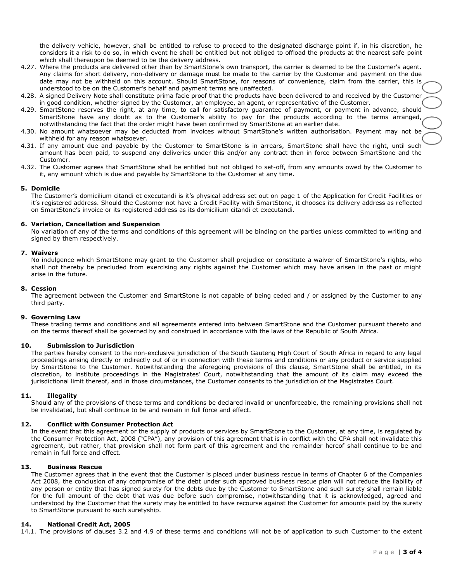the delivery vehicle, however, shall be entitled to refuse to proceed to the designated discharge point if, in his discretion, he considers it a risk to do so, in which event he shall be entitled but not obliged to offload the products at the nearest safe point which shall thereupon be deemed to be the delivery address.

- 4.27. Where the products are delivered other than by SmartStone's own transport, the carrier is deemed to be the Customer's agent. Any claims for short delivery, non-delivery or damage must be made to the carrier by the Customer and payment on the due date may not be withheld on this account. Should SmartStone, for reasons of convenience, claim from the carrier, this is understood to be on the Customer's behalf and payment terms are unaffected.
- 4.28. A signed Delivery Note shall constitute prima facie proof that the products have been delivered to and received by the Customer in good condition, whether signed by the Customer, an employee, an agent, or representative of the Customer.
- 4.29. SmartStone reserves the right, at any time, to call for satisfactory guarantee of payment, or payment in advance, should SmartStone have any doubt as to the Customer's ability to pay for the products according to the terms arranged, notwithstanding the fact that the order might have been confirmed by SmartStone at an earlier date.
- 4.30. No amount whatsoever may be deducted from invoices without SmartStone's written authorisation. Payment may not be withheld for any reason whatsoever.
- 4.31. If any amount due and payable by the Customer to SmartStone is in arrears, SmartStone shall have the right, until such amount has been paid, to suspend any deliveries under this and/or any contract then in force between SmartStone and the Customer.
- 4.32. The Customer agrees that SmartStone shall be entitled but not obliged to set-off, from any amounts owed by the Customer to it, any amount which is due and payable by SmartStone to the Customer at any time.

## **5. Domicile**

The Customer's domicilium citandi et executandi is it's physical address set out on page 1 of the Application for Credit Facilities or it's registered address. Should the Customer not have a Credit Facility with SmartStone, it chooses its delivery address as reflected on SmartStone's invoice or its registered address as its domicilium citandi et executandi.

## **6. Variation, Cancellation and Suspension**

No variation of any of the terms and conditions of this agreement will be binding on the parties unless committed to writing and signed by them respectively.

#### **7. Waivers**

No indulgence which SmartStone may grant to the Customer shall prejudice or constitute a waiver of SmartStone's rights, who shall not thereby be precluded from exercising any rights against the Customer which may have arisen in the past or might arise in the future.

### **8. Cession**

The agreement between the Customer and SmartStone is not capable of being ceded and / or assigned by the Customer to any third party.

#### **9. Governing Law**

These trading terms and conditions and all agreements entered into between SmartStone and the Customer pursuant thereto and on the terms thereof shall be governed by and construed in accordance with the laws of the Republic of South Africa.

# **10. Submission to Jurisdiction**

The parties hereby consent to the non-exclusive jurisdiction of the South Gauteng High Court of South Africa in regard to any legal proceedings arising directly or indirectly out of or in connection with these terms and conditions or any product or service supplied by SmartStone to the Customer. Notwithstanding the aforegoing provisions of this clause, SmartStone shall be entitled, in its discretion, to institute proceedings in the Magistrates' Court, notwithstanding that the amount of its claim may exceed the jurisdictional limit thereof, and in those circumstances, the Customer consents to the jurisdiction of the Magistrates Court.

# **11. Illegality**

Should any of the provisions of these terms and conditions be declared invalid or unenforceable, the remaining provisions shall not be invalidated, but shall continue to be and remain in full force and effect.

# **12. Conflict with Consumer Protection Act**

In the event that this agreement or the supply of products or services by SmartStone to the Customer, at any time, is regulated by the Consumer Protection Act, 2008 ("CPA"), any provision of this agreement that is in conflict with the CPA shall not invalidate this agreement, but rather, that provision shall not form part of this agreement and the remainder hereof shall continue to be and remain in full force and effect.

#### **13. Business Rescue**

The Customer agrees that in the event that the Customer is placed under business rescue in terms of Chapter 6 of the Companies Act 2008, the conclusion of any compromise of the debt under such approved business rescue plan will not reduce the liability of any person or entity that has signed surety for the debts due by the Customer to SmartStone and such surety shall remain liable for the full amount of the debt that was due before such compromise, notwithstanding that it is acknowledged, agreed and understood by the Customer that the surety may be entitled to have recourse against the Customer for amounts paid by the surety to SmartStone pursuant to such suretyship.

## **14. National Credit Act, 2005**

14.1. The provisions of clauses 3.2 and 4.9 of these terms and conditions will not be of application to such Customer to the extent